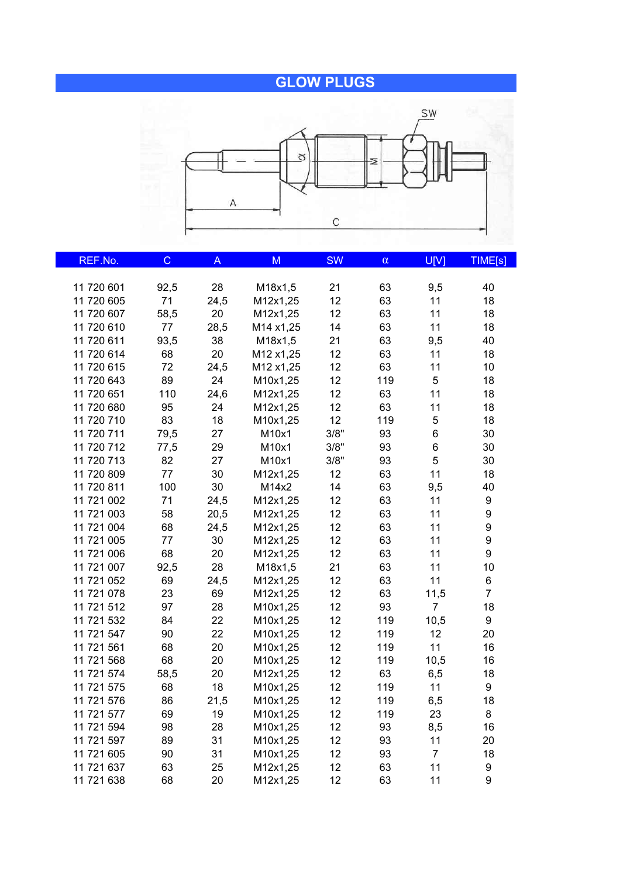## **GLOW PLUGS**



| REF.No.    | $\mathsf C$ | A    | M         | <b>SW</b> | $\alpha$ | U[V]           | TIME[s]          |
|------------|-------------|------|-----------|-----------|----------|----------------|------------------|
|            |             |      |           |           |          |                |                  |
| 11 720 601 | 92,5        | 28   | M18x1,5   | 21        | 63       | 9,5            | 40               |
| 11 720 605 | 71          | 24,5 | M12x1,25  | 12        | 63       | 11             | 18               |
| 11 720 607 | 58,5        | 20   | M12x1,25  | 12        | 63       | 11             | 18               |
| 11 720 610 | 77          | 28,5 | M14 x1,25 | 14        | 63       | 11             | 18               |
| 11 720 611 | 93,5        | 38   | M18x1,5   | 21        | 63       | 9,5            | 40               |
| 11 720 614 | 68          | 20   | M12 x1,25 | 12        | 63       | 11             | 18               |
| 11 720 615 | 72          | 24,5 | M12 x1,25 | 12        | 63       | 11             | 10               |
| 11 720 643 | 89          | 24   | M10x1,25  | 12        | 119      | $\sqrt{5}$     | 18               |
| 11 720 651 | 110         | 24,6 | M12x1,25  | 12        | 63       | 11             | 18               |
| 11 720 680 | 95          | 24   | M12x1,25  | 12        | 63       | 11             | 18               |
| 11 720 710 | 83          | 18   | M10x1,25  | 12        | 119      | 5              | 18               |
| 11 720 711 | 79,5        | 27   | M10x1     | 3/8"      | 93       | 6              | 30               |
| 11 720 712 | 77,5        | 29   | M10x1     | 3/8"      | 93       | 6              | 30               |
| 11 720 713 | 82          | 27   | M10x1     | 3/8"      | 93       | 5              | 30               |
| 11 720 809 | 77          | 30   | M12x1,25  | 12        | 63       | 11             | 18               |
| 11 720 811 | 100         | 30   | M14x2     | 14        | 63       | 9,5            | 40               |
| 11 721 002 | 71          | 24,5 | M12x1,25  | 12        | 63       | 11             | 9                |
| 11 721 003 | 58          | 20,5 | M12x1,25  | 12        | 63       | 11             | $\boldsymbol{9}$ |
| 11 721 004 | 68          | 24,5 | M12x1,25  | 12        | 63       | 11             | 9                |
| 11 721 005 | 77          | 30   | M12x1,25  | 12        | 63       | 11             | $\boldsymbol{9}$ |
| 11 721 006 | 68          | 20   | M12x1,25  | 12        | 63       | 11             | 9                |
| 11 721 007 | 92,5        | 28   | M18x1,5   | 21        | 63       | 11             | 10               |
| 11 721 052 | 69          | 24,5 | M12x1,25  | 12        | 63       | 11             | 6                |
| 11 721 078 | 23          | 69   | M12x1,25  | 12        | 63       | 11,5           | $\overline{7}$   |
| 11 721 512 | 97          | 28   | M10x1,25  | 12        | 93       | $\overline{7}$ | 18               |
| 11 721 532 | 84          | 22   | M10x1,25  | 12        | 119      | 10,5           | 9                |
| 11 721 547 | 90          | 22   | M10x1,25  | 12        | 119      | 12             | 20               |
| 11 721 561 | 68          | 20   | M10x1,25  | 12        | 119      | 11             | 16               |
| 11 721 568 | 68          | 20   | M10x1,25  | 12        | 119      | 10,5           | 16               |
| 11 721 574 | 58,5        | 20   | M12x1,25  | 12        | 63       | 6,5            | 18               |
| 11 721 575 | 68          | 18   | M10x1,25  | 12        | 119      | 11             | 9                |
| 11 721 576 | 86          | 21,5 | M10x1,25  | 12        | 119      | 6,5            | 18               |
| 11 721 577 | 69          | 19   | M10x1,25  | 12        | 119      | 23             | 8                |
| 11 721 594 | 98          | 28   | M10x1,25  | 12        | 93       | 8,5            | 16               |
| 11 721 597 | 89          | 31   | M10x1,25  | 12        | 93       | 11             | 20               |
| 11 721 605 | 90          | 31   | M10x1,25  | 12        | 93       | $\overline{7}$ | 18               |
| 11 721 637 | 63          | 25   | M12x1,25  | 12        | 63       | 11             | 9                |
| 11 721 638 | 68          | 20   | M12x1,25  | 12        | 63       | 11             | 9                |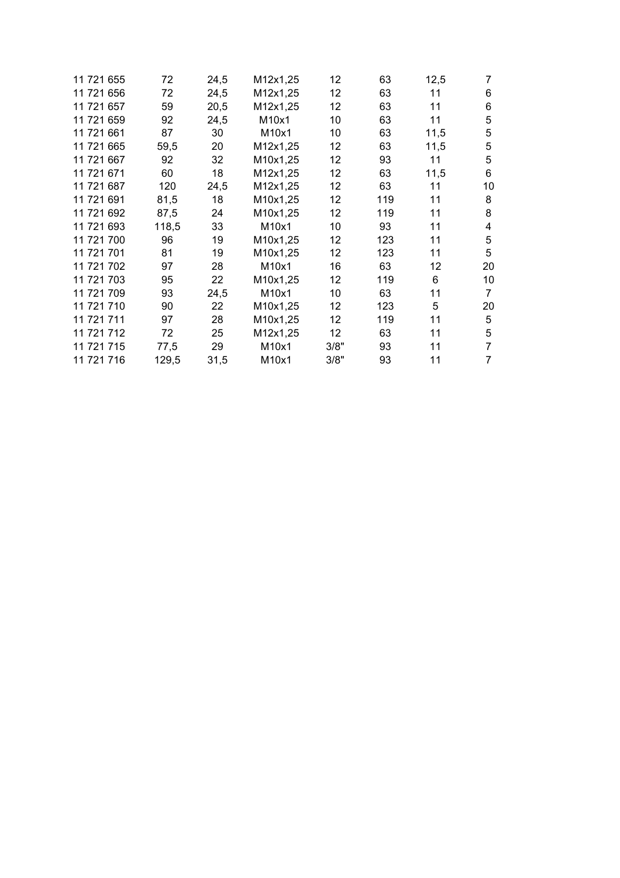| 11 721 655 | 72    | 24,5 | M12x1,25 | 12   | 63  | 12,5 | 7  |
|------------|-------|------|----------|------|-----|------|----|
| 11 721 656 | 72    | 24,5 | M12x1,25 | 12   | 63  | 11   | 6  |
| 11 721 657 | 59    | 20,5 | M12x1,25 | 12   | 63  | 11   | 6  |
| 11 721 659 | 92    | 24,5 | M10x1    | 10   | 63  | 11   | 5  |
| 11 721 661 | 87    | 30   | M10x1    | 10   | 63  | 11,5 | 5  |
| 11 721 665 | 59,5  | 20   | M12x1,25 | 12   | 63  | 11,5 | 5  |
| 11 721 667 | 92    | 32   | M10x1,25 | 12   | 93  | 11   | 5  |
| 11 721 671 | 60    | 18   | M12x1,25 | 12   | 63  | 11,5 | 6  |
| 11 721 687 | 120   | 24,5 | M12x1,25 | 12   | 63  | 11   | 10 |
| 11 721 691 | 81,5  | 18   | M10x1,25 | 12   | 119 | 11   | 8  |
| 11 721 692 | 87,5  | 24   | M10x1,25 | 12   | 119 | 11   | 8  |
| 11 721 693 | 118,5 | 33   | M10x1    | 10   | 93  | 11   | 4  |
| 11 721 700 | 96    | 19   | M10x1,25 | 12   | 123 | 11   | 5  |
| 11 721 701 | 81    | 19   | M10x1,25 | 12   | 123 | 11   | 5  |
| 11 721 702 | 97    | 28   | M10x1    | 16   | 63  | 12   | 20 |
| 11 721 703 | 95    | 22   | M10x1,25 | 12   | 119 | 6    | 10 |
| 11 721 709 | 93    | 24,5 | M10x1    | 10   | 63  | 11   | 7  |
| 11 721 710 | 90    | 22   | M10x1,25 | 12   | 123 | 5    | 20 |
| 11 721 711 | 97    | 28   | M10x1,25 | 12   | 119 | 11   | 5  |
| 11 721 712 | 72    | 25   | M12x1,25 | 12   | 63  | 11   | 5  |
| 11 721 715 | 77,5  | 29   | M10x1    | 3/8" | 93  | 11   | 7  |
| 11 721 716 | 129,5 | 31,5 | M10x1    | 3/8" | 93  | 11   | 7  |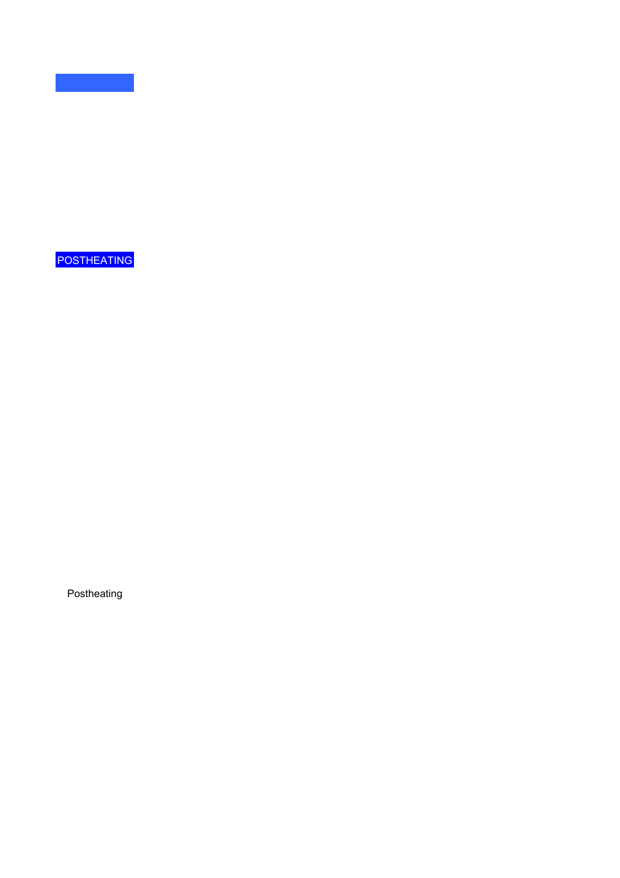POSTHEATING

Postheating